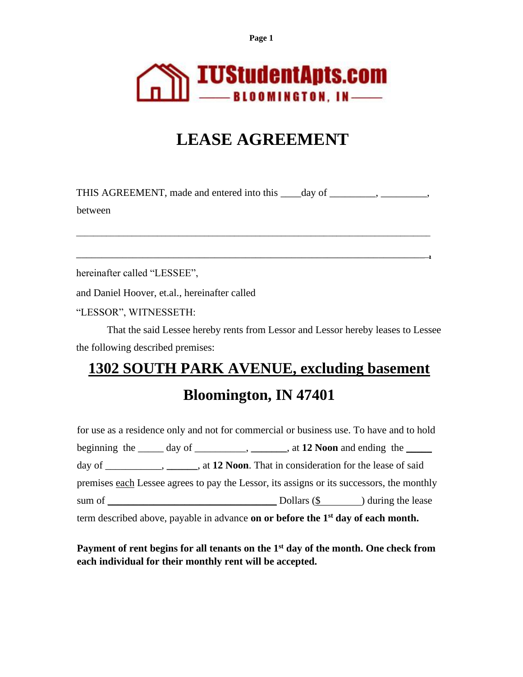**Page 1**



## **LEASE AGREEMENT**

THIS AGREEMENT, made and entered into this \_\_\_\_day of \_\_\_\_\_\_\_\_, \_\_\_\_\_\_\_\_\_, between

\_\_\_\_\_\_\_\_\_\_\_\_\_\_\_\_\_\_\_\_\_\_\_\_\_\_\_\_\_\_\_\_\_\_\_\_\_\_\_\_\_\_\_\_\_\_\_\_\_\_\_\_\_\_\_\_\_\_\_\_\_\_\_\_\_\_\_\_\_\_\_\_\_\_\_\_\_\_\_\_\_\_\_

\_\_\_\_\_\_\_\_\_\_\_\_\_\_\_\_\_\_\_\_\_\_\_\_\_\_\_\_\_\_\_\_\_\_\_\_\_\_\_\_\_\_\_\_\_\_\_\_\_\_\_\_\_\_\_\_\_\_\_\_\_\_\_\_\_\_\_\_\_**,**

hereinafter called "LESSEE",

and Daniel Hoover, et.al., hereinafter called

"LESSOR", WITNESSETH:

That the said Lessee hereby rents from Lessor and Lessor hereby leases to Lessee the following described premises:

# **1302 SOUTH PARK AVENUE, excluding basement Bloomington, IN 47401**

for use as a residence only and not for commercial or business use. To have and to hold beginning the day of  $\qquad \qquad$ ,  $\qquad \qquad$ , at **12 Noon** and ending the day of \_\_\_\_\_\_\_\_\_\_\_, **\_\_\_\_\_\_**, at **12 Noon**. That in consideration for the lease of said premises each Lessee agrees to pay the Lessor, its assigns or its successors, the monthly sum of \_\_\_\_\_\_\_\_\_\_\_\_\_\_\_\_\_\_\_\_\_\_\_\_\_\_\_\_\_\_\_\_\_ Dollars (\$ ) during the lease term described above, payable in advance **on or before the 1st day of each month.**

**Payment of rent begins for all tenants on the 1st day of the month. One check from each individual for their monthly rent will be accepted.**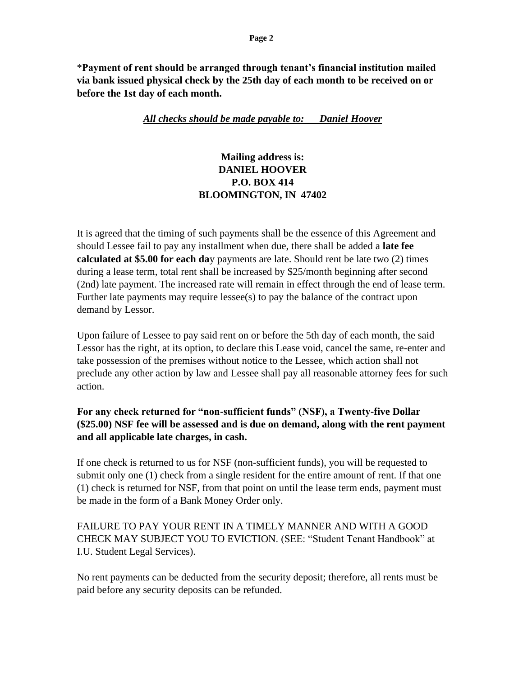\***Payment of rent should be arranged through tenant's financial institution mailed via bank issued physical check by the 25th day of each month to be received on or before the 1st day of each month.** 

#### *All checks should be made payable to: Daniel Hoover*

## **Mailing address is: DANIEL HOOVER P.O. BOX 414 BLOOMINGTON, IN 47402**

It is agreed that the timing of such payments shall be the essence of this Agreement and should Lessee fail to pay any installment when due, there shall be added a **late fee calculated at \$5.00 for each da**y payments are late. Should rent be late two (2) times during a lease term, total rent shall be increased by \$25/month beginning after second (2nd) late payment. The increased rate will remain in effect through the end of lease term. Further late payments may require lessee(s) to pay the balance of the contract upon demand by Lessor.

Upon failure of Lessee to pay said rent on or before the 5th day of each month, the said Lessor has the right, at its option, to declare this Lease void, cancel the same, re-enter and take possession of the premises without notice to the Lessee, which action shall not preclude any other action by law and Lessee shall pay all reasonable attorney fees for such action.

**For any check returned for "non-sufficient funds" (NSF), a Twenty-five Dollar (\$25.00) NSF fee will be assessed and is due on demand, along with the rent payment and all applicable late charges, in cash.** 

If one check is returned to us for NSF (non-sufficient funds), you will be requested to submit only one (1) check from a single resident for the entire amount of rent. If that one (1) check is returned for NSF, from that point on until the lease term ends, payment must be made in the form of a Bank Money Order only.

FAILURE TO PAY YOUR RENT IN A TIMELY MANNER AND WITH A GOOD CHECK MAY SUBJECT YOU TO EVICTION. (SEE: "Student Tenant Handbook" at I.U. Student Legal Services).

No rent payments can be deducted from the security deposit; therefore, all rents must be paid before any security deposits can be refunded.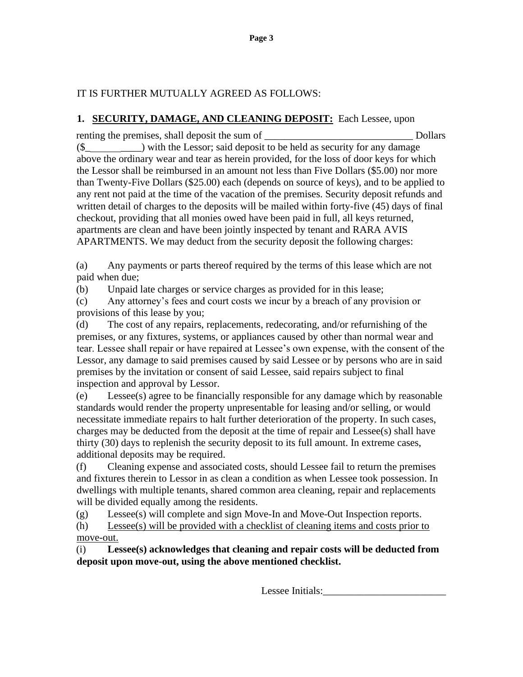## IT IS FURTHER MUTUALLY AGREED AS FOLLOWS:

## **1. SECURITY, DAMAGE, AND CLEANING DEPOSIT:** Each Lessee, upon

renting the premises, shall deposit the sum of True Dollars  $(\$$   $\Box$ ) with the Lessor; said deposit to be held as security for any damage above the ordinary wear and tear as herein provided, for the loss of door keys for which the Lessor shall be reimbursed in an amount not less than Five Dollars (\$5.00) nor more than Twenty-Five Dollars (\$25.00) each (depends on source of keys), and to be applied to any rent not paid at the time of the vacation of the premises. Security deposit refunds and written detail of charges to the deposits will be mailed within forty-five (45) days of final checkout, providing that all monies owed have been paid in full, all keys returned, apartments are clean and have been jointly inspected by tenant and RARA AVIS APARTMENTS. We may deduct from the security deposit the following charges:

(a) Any payments or parts thereof required by the terms of this lease which are not paid when due;

(b) Unpaid late charges or service charges as provided for in this lease;

(c) Any attorney's fees and court costs we incur by a breach of any provision or provisions of this lease by you;

(d) The cost of any repairs, replacements, redecorating, and/or refurnishing of the premises, or any fixtures, systems, or appliances caused by other than normal wear and tear. Lessee shall repair or have repaired at Lessee's own expense, with the consent of the Lessor, any damage to said premises caused by said Lessee or by persons who are in said premises by the invitation or consent of said Lessee, said repairs subject to final inspection and approval by Lessor.

(e) Lessee(s) agree to be financially responsible for any damage which by reasonable standards would render the property unpresentable for leasing and/or selling, or would necessitate immediate repairs to halt further deterioration of the property. In such cases, charges may be deducted from the deposit at the time of repair and Lessee(s) shall have thirty (30) days to replenish the security deposit to its full amount. In extreme cases, additional deposits may be required.

(f) Cleaning expense and associated costs, should Lessee fail to return the premises and fixtures therein to Lessor in as clean a condition as when Lessee took possession. In dwellings with multiple tenants, shared common area cleaning, repair and replacements will be divided equally among the residents.

(g) Lessee(s) will complete and sign Move-In and Move-Out Inspection reports.

(h) Lessee(s) will be provided with a checklist of cleaning items and costs prior to move-out.

(i) **Lessee(s) acknowledges that cleaning and repair costs will be deducted from deposit upon move-out, using the above mentioned checklist.**

Lessee Initials: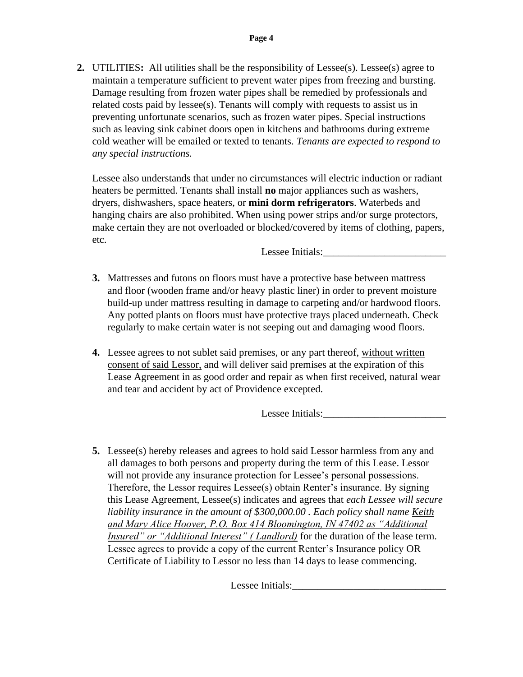**2.** UTILITIES**:** All utilities shall be the responsibility of Lessee(s). Lessee(s) agree to maintain a temperature sufficient to prevent water pipes from freezing and bursting. Damage resulting from frozen water pipes shall be remedied by professionals and related costs paid by lessee(s). Tenants will comply with requests to assist us in preventing unfortunate scenarios, such as frozen water pipes. Special instructions such as leaving sink cabinet doors open in kitchens and bathrooms during extreme cold weather will be emailed or texted to tenants. *Tenants are expected to respond to any special instructions.*

Lessee also understands that under no circumstances will electric induction or radiant heaters be permitted. Tenants shall install **no** major appliances such as washers, dryers, dishwashers, space heaters, or **mini dorm refrigerators**. Waterbeds and hanging chairs are also prohibited. When using power strips and/or surge protectors, make certain they are not overloaded or blocked/covered by items of clothing, papers, etc.

Lessee Initials:

- **3.** Mattresses and futons on floors must have a protective base between mattress and floor (wooden frame and/or heavy plastic liner) in order to prevent moisture build-up under mattress resulting in damage to carpeting and/or hardwood floors. Any potted plants on floors must have protective trays placed underneath. Check regularly to make certain water is not seeping out and damaging wood floors.
- **4.** Lessee agrees to not sublet said premises, or any part thereof, without written consent of said Lessor, and will deliver said premises at the expiration of this Lease Agreement in as good order and repair as when first received, natural wear and tear and accident by act of Providence excepted.

Lessee Initials:

**5.** Lessee(s) hereby releases and agrees to hold said Lessor harmless from any and all damages to both persons and property during the term of this Lease. Lessor will not provide any insurance protection for Lessee's personal possessions. Therefore, the Lessor requires Lessee(s) obtain Renter's insurance. By signing this Lease Agreement, Lessee(s) indicates and agrees that *each Lessee will secure liability insurance in the amount of \$300,000.00 . Each policy shall name Keith and Mary Alice Hoover, P.O. Box 414 Bloomington, IN 47402 as "Additional Insured" or "Additional Interest" ( Landlord)* for the duration of the lease term. Lessee agrees to provide a copy of the current Renter's Insurance policy OR Certificate of Liability to Lessor no less than 14 days to lease commencing.

Lessee Initials: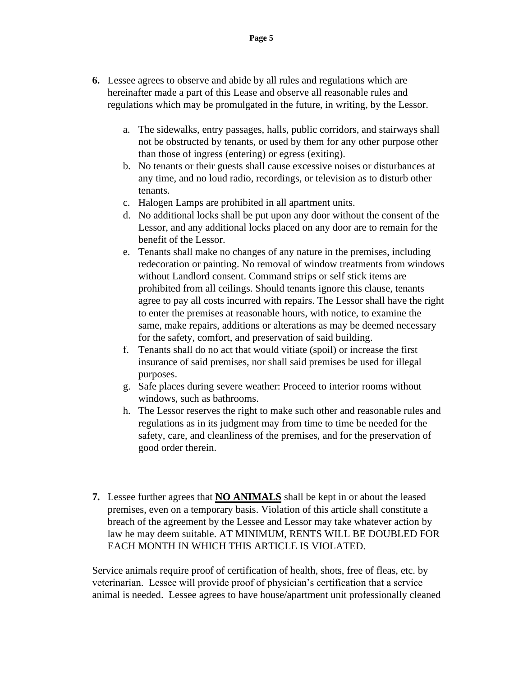- **6.** Lessee agrees to observe and abide by all rules and regulations which are hereinafter made a part of this Lease and observe all reasonable rules and regulations which may be promulgated in the future, in writing, by the Lessor.
	- a. The sidewalks, entry passages, halls, public corridors, and stairways shall not be obstructed by tenants, or used by them for any other purpose other than those of ingress (entering) or egress (exiting).
	- b. No tenants or their guests shall cause excessive noises or disturbances at any time, and no loud radio, recordings, or television as to disturb other tenants.
	- c. Halogen Lamps are prohibited in all apartment units.
	- d. No additional locks shall be put upon any door without the consent of the Lessor, and any additional locks placed on any door are to remain for the benefit of the Lessor.
	- e. Tenants shall make no changes of any nature in the premises, including redecoration or painting. No removal of window treatments from windows without Landlord consent. Command strips or self stick items are prohibited from all ceilings. Should tenants ignore this clause, tenants agree to pay all costs incurred with repairs. The Lessor shall have the right to enter the premises at reasonable hours, with notice, to examine the same, make repairs, additions or alterations as may be deemed necessary for the safety, comfort, and preservation of said building.
	- f. Tenants shall do no act that would vitiate (spoil) or increase the first insurance of said premises, nor shall said premises be used for illegal purposes.
	- g. Safe places during severe weather: Proceed to interior rooms without windows, such as bathrooms.
	- h. The Lessor reserves the right to make such other and reasonable rules and regulations as in its judgment may from time to time be needed for the safety, care, and cleanliness of the premises, and for the preservation of good order therein.
- **7.** Lessee further agrees that **NO ANIMALS** shall be kept in or about the leased premises, even on a temporary basis. Violation of this article shall constitute a breach of the agreement by the Lessee and Lessor may take whatever action by law he may deem suitable. AT MINIMUM, RENTS WILL BE DOUBLED FOR EACH MONTH IN WHICH THIS ARTICLE IS VIOLATED.

Service animals require proof of certification of health, shots, free of fleas, etc. by veterinarian. Lessee will provide proof of physician's certification that a service animal is needed. Lessee agrees to have house/apartment unit professionally cleaned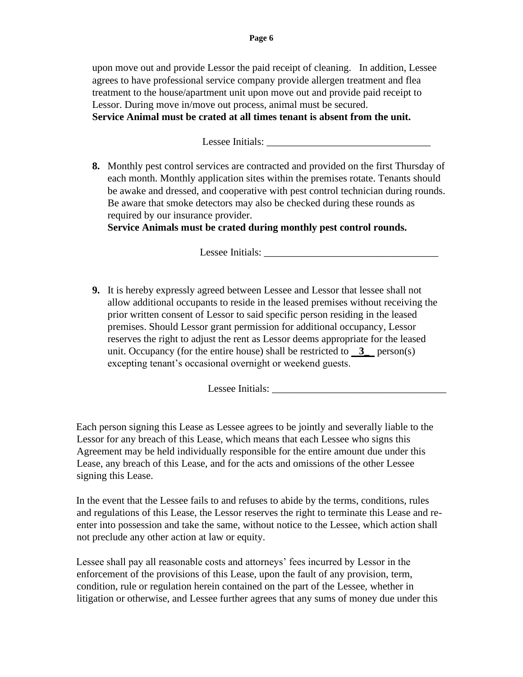upon move out and provide Lessor the paid receipt of cleaning. In addition, Lessee agrees to have professional service company provide allergen treatment and flea treatment to the house/apartment unit upon move out and provide paid receipt to Lessor. During move in/move out process, animal must be secured. **Service Animal must be crated at all times tenant is absent from the unit.** 

Lessee Initials:

**8.** Monthly pest control services are contracted and provided on the first Thursday of each month. Monthly application sites within the premises rotate. Tenants should be awake and dressed, and cooperative with pest control technician during rounds. Be aware that smoke detectors may also be checked during these rounds as required by our insurance provider.

**Service Animals must be crated during monthly pest control rounds.**

Lessee Initials:

**9.** It is hereby expressly agreed between Lessee and Lessor that lessee shall not allow additional occupants to reside in the leased premises without receiving the prior written consent of Lessor to said specific person residing in the leased premises. Should Lessor grant permission for additional occupancy, Lessor reserves the right to adjust the rent as Lessor deems appropriate for the leased unit. Occupancy (for the entire house) shall be restricted to  $3$  person(s) excepting tenant's occasional overnight or weekend guests.

Lessee Initials: \_\_\_\_\_\_\_\_\_\_\_\_\_\_\_\_\_\_\_\_\_\_\_\_\_\_\_\_\_\_\_\_\_\_

Each person signing this Lease as Lessee agrees to be jointly and severally liable to the Lessor for any breach of this Lease, which means that each Lessee who signs this Agreement may be held individually responsible for the entire amount due under this Lease, any breach of this Lease, and for the acts and omissions of the other Lessee signing this Lease.

In the event that the Lessee fails to and refuses to abide by the terms, conditions, rules and regulations of this Lease, the Lessor reserves the right to terminate this Lease and reenter into possession and take the same, without notice to the Lessee, which action shall not preclude any other action at law or equity.

Lessee shall pay all reasonable costs and attorneys' fees incurred by Lessor in the enforcement of the provisions of this Lease, upon the fault of any provision, term, condition, rule or regulation herein contained on the part of the Lessee, whether in litigation or otherwise, and Lessee further agrees that any sums of money due under this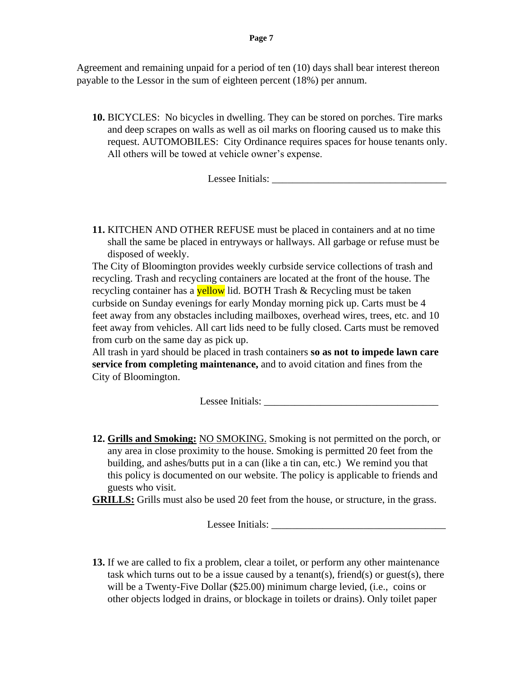Agreement and remaining unpaid for a period of ten (10) days shall bear interest thereon payable to the Lessor in the sum of eighteen percent (18%) per annum.

**10.** BICYCLES: No bicycles in dwelling. They can be stored on porches. Tire marks and deep scrapes on walls as well as oil marks on flooring caused us to make this request. AUTOMOBILES: City Ordinance requires spaces for house tenants only. All others will be towed at vehicle owner's expense.

Lessee Initials:

**11.** KITCHEN AND OTHER REFUSE must be placed in containers and at no time shall the same be placed in entryways or hallways. All garbage or refuse must be disposed of weekly.

The City of Bloomington provides weekly curbside service collections of trash and recycling. Trash and recycling containers are located at the front of the house. The recycling container has a **yellow** lid. BOTH Trash & Recycling must be taken curbside on Sunday evenings for early Monday morning pick up. Carts must be 4 feet away from any obstacles including mailboxes, overhead wires, trees, etc. and 10 feet away from vehicles. All cart lids need to be fully closed. Carts must be removed from curb on the same day as pick up.

All trash in yard should be placed in trash containers **so as not to impede lawn care service from completing maintenance,** and to avoid citation and fines from the City of Bloomington.

Lessee Initials:

**12. Grills and Smoking:** NO SMOKING. Smoking is not permitted on the porch, or any area in close proximity to the house. Smoking is permitted 20 feet from the building, and ashes/butts put in a can (like a tin can, etc.) We remind you that this policy is documented on our website. The policy is applicable to friends and guests who visit.

**GRILLS:** Grills must also be used 20 feet from the house, or structure, in the grass.

Lessee Initials: \_\_\_\_\_\_\_\_\_\_\_\_\_\_\_\_\_\_\_\_\_\_\_\_\_\_\_\_\_\_\_\_\_\_

**13.** If we are called to fix a problem, clear a toilet, or perform any other maintenance task which turns out to be a issue caused by a tenant(s), friend(s) or guest(s), there will be a Twenty-Five Dollar (\$25.00) minimum charge levied, (i.e., coins or other objects lodged in drains, or blockage in toilets or drains). Only toilet paper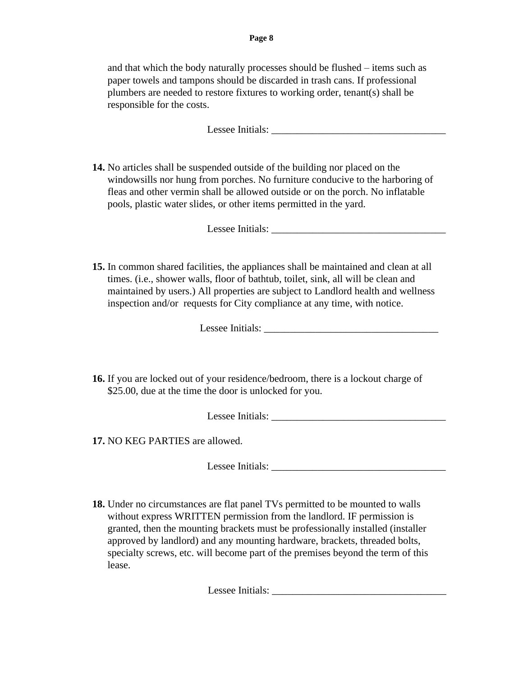and that which the body naturally processes should be flushed – items such as paper towels and tampons should be discarded in trash cans. If professional plumbers are needed to restore fixtures to working order, tenant(s) shall be responsible for the costs.

Lessee Initials: \_\_\_\_\_\_\_\_\_\_\_\_\_\_\_\_\_\_\_\_\_\_\_\_\_\_\_\_\_\_\_\_\_\_

**14.** No articles shall be suspended outside of the building nor placed on the windowsills nor hung from porches. No furniture conducive to the harboring of fleas and other vermin shall be allowed outside or on the porch. No inflatable pools, plastic water slides, or other items permitted in the yard.

Lessee Initials: \_\_\_\_\_\_\_\_\_\_\_\_\_\_\_\_\_\_\_\_\_\_\_\_\_\_\_\_\_\_\_\_\_\_

**15.** In common shared facilities, the appliances shall be maintained and clean at all times. (i.e., shower walls, floor of bathtub, toilet, sink, all will be clean and maintained by users.) All properties are subject to Landlord health and wellness inspection and/or requests for City compliance at any time, with notice.

Lessee Initials: \_\_\_\_\_\_\_\_\_\_\_\_\_\_\_\_\_\_\_\_\_\_\_\_\_\_\_\_\_\_\_\_\_\_

**16.** If you are locked out of your residence/bedroom, there is a lockout charge of \$25.00, due at the time the door is unlocked for you.

Lessee Initials: \_\_\_\_\_\_\_\_\_\_\_\_\_\_\_\_\_\_\_\_\_\_\_\_\_\_\_\_\_\_\_\_\_\_

**17.** NO KEG PARTIES are allowed.

Lessee Initials:

**18.** Under no circumstances are flat panel TVs permitted to be mounted to walls without express WRITTEN permission from the landlord. IF permission is granted, then the mounting brackets must be professionally installed (installer approved by landlord) and any mounting hardware, brackets, threaded bolts, specialty screws, etc. will become part of the premises beyond the term of this lease.

Lessee Initials: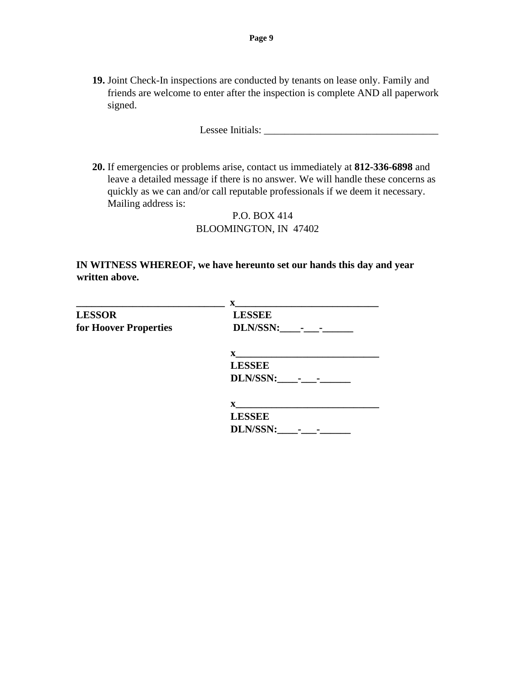**19.** Joint Check-In inspections are conducted by tenants on lease only. Family and friends are welcome to enter after the inspection is complete AND all paperwork signed.

Lessee Initials:

**20.** If emergencies or problems arise, contact us immediately at **812-336-6898** and leave a detailed message if there is no answer. We will handle these concerns as quickly as we can and/or call reputable professionals if we deem it necessary. Mailing address is:

#### P.O. BOX 414 BLOOMINGTON, IN 47402

#### **IN WITNESS WHEREOF, we have hereunto set our hands this day and year written above.**

|                       | $\mathbf{X}$    |
|-----------------------|-----------------|
| <b>LESSOR</b>         | <b>LESSEE</b>   |
| for Hoover Properties | DLN/SSN: - -    |
|                       | $\mathbf X$     |
|                       | <b>LESSEE</b>   |
|                       | DLN/SSN: - -    |
|                       |                 |
|                       | <b>LESSEE</b>   |
|                       | <b>DLN/SSN:</b> |